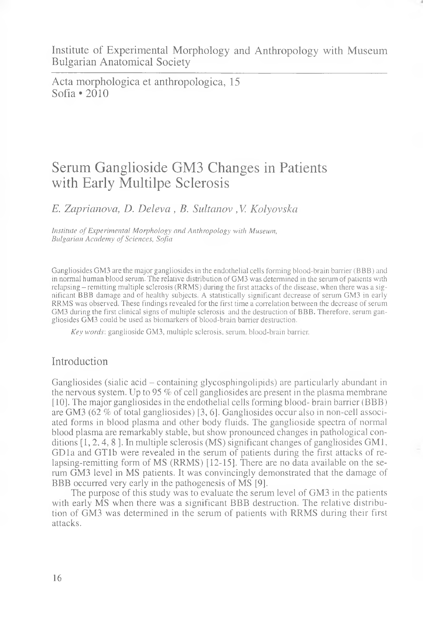Institute of Experimental Morphology and Anthropology with Museum Bulgarian Anatomical Society

Acta morphologica et anthropologica, 15 Sofia  $\cdot$  2010

# Serum Ganglioside GM3 Changes in Patients with Early Multilpe Sclerosis

*E. Zaprianova, D. Delevci*, *B. Sultanov , V Kolyovska*

*Institute of Experimental Morphology and Anthropology with Museum, Bulgarian Academy of Sciences, Sofia*

Gangliosides GM3 are the major gangliosides in the endothelial cells forming blood-brain barrier (BBB) and in normal human blood serum. The relative distribution of GM3 was determined in the serum of patients with relapsing - remitting multiple sclerosis (RRMS) during the first attacks of the disease, when there was a significant BBB damage and of healthy subjects. A statistically significant decrease of serum GM3 in early RRMS was observed. These findings revealed for the first time a correlation between the decrease of serum GM3 during the first clinical signs of multiple sclerosis and the destruction of BBB. Therefore, serum gangliosides GM3 could be used as biomarkers of blood-brain barrier destruction.

*Key words',* ganglioside GM3, multiple sclerosis, serum, blood-brain barrier.

## Introduction

Gangliosides (sialic acid – containing glycosphingolipids) are particularly abundant in the nervous system. Up to 95 *%* of cell gangliosides are present in the plasma membrane [10]. The major gangliosides in the endothelial cells forming blood- brain barrier (BBB) are GM3 (62 *%* of total gangliosides) [3, 6]. Gangliosides occur also in non-cell associated forms in blood plasma and other body fluids. The ganglioside spectra of normal blood plasma are remarkably stable, but show pronounced changes in pathological conditions [1, 2, 4, 8 ]. In multiple sclerosis (MS) significant changes of gangliosides GM1, GDla and GTlb were revealed in the serum of patients during the first attacks of relapsing-remitting form of MS (RRMS) [12-15]. There are no data available on the serum GM3 level in MS patients. It was convincingly demonstrated that the damage of BBB occurred very early in the pathogenesis of MS [9].

The purpose of this study was to evaluate the serum level of GM3 in the patients with early MS when there was a significant BBB destruction. The relative distribution of GM3 was determined in the serum of patients with RRMS during their first attacks.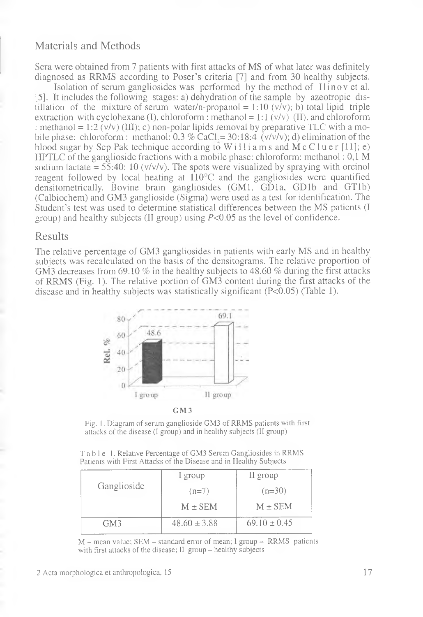## Materials and Methods

Sera were obtained from 7 patients with first attacks of MS of what later was definitely diagnosed as RRMS according to Poser's criteria [7] and from 30 healthy subjects.

Isolation of serum gangliosides was performed by the method of Ilinovetal. [5]. It includes the following stages: a) dehydration of the sample by azeotropic distillation of the mixture of serum water/n-propanol = 1:10  $(v/v)$ ; b) total lipid triple extraction with cyclohexane (I), chloroform : methanol = 1:1 ( $v/v$ ) (II), and chloroform : methanol = 1:2 ( $v/v$ ) (III); c) non-polar lipids removal by preparative TLC with a mobile phase: chloroform : methanol:  $0.3\%$  CaCl<sub> $\approx$ </sub>= 30:18:4 ( $\sqrt{\nu}/\nu$ ); d) elimination of the blood sugar by Sep Pak technique according to Williams and McCluer [11]; e) HPTLC of the ganglioside fractions with a mobile phase: chloroform: methanol: 0,1 M sodium lactate =  $55:40:10 \frac{\text{v}}{\text{v}}$ . The spots were visualized by spraying with orcinol reagent followed by local heating at  $110^{\circ}$ C and the gangliosides were quantified densitometrically. Bovine brain gangliosides (GM1, GDla, GDlb and GTlb) (Calbiochem) and GM3 ganglioside (Sigma) were used as a test for identification. The Student's test was used to determine statistical differences between the MS patients (I group) and healthy subjects (II group) using  $P<0.05$  as the level of confidence.

### Results

The relative percentage of GM3 gangliosides in patients with early MS and in healthy subjects was recalculated on the basis of the densitograms. The relative proportion of GM3 decreases from 69.10 % in the healthy subjects to 48.60 *%* during the first attacks of RRMS (Fig. 1). The relative portion of GM3 content during the first attacks of the disease and in healthy subjects was statistically significant (P<0.05) (Table 1).



GM3

Fig. 1. Diagram of serum ganglioside GM3 of RRMS patients with first attacks of the disease (I group) and in healthy subjects (II group)

Table 1. Relative Percentage of GM3 Serum Gangliosides in RRMS Patients with First Attacks of the Disease and in Healthy Subjects

| Ganglioside | I group          | II group         |
|-------------|------------------|------------------|
|             | $(n=7)$          | $(n=30)$         |
|             | $M \pm SEM$      | $M \pm$ SEM      |
| GM3         | $48.60 \pm 3.88$ | $69.10 \pm 0.45$ |

M - mean value; SEM - standard error of mean; I group - RRMS patients with first attacks of the disease; II group - healthy subjects